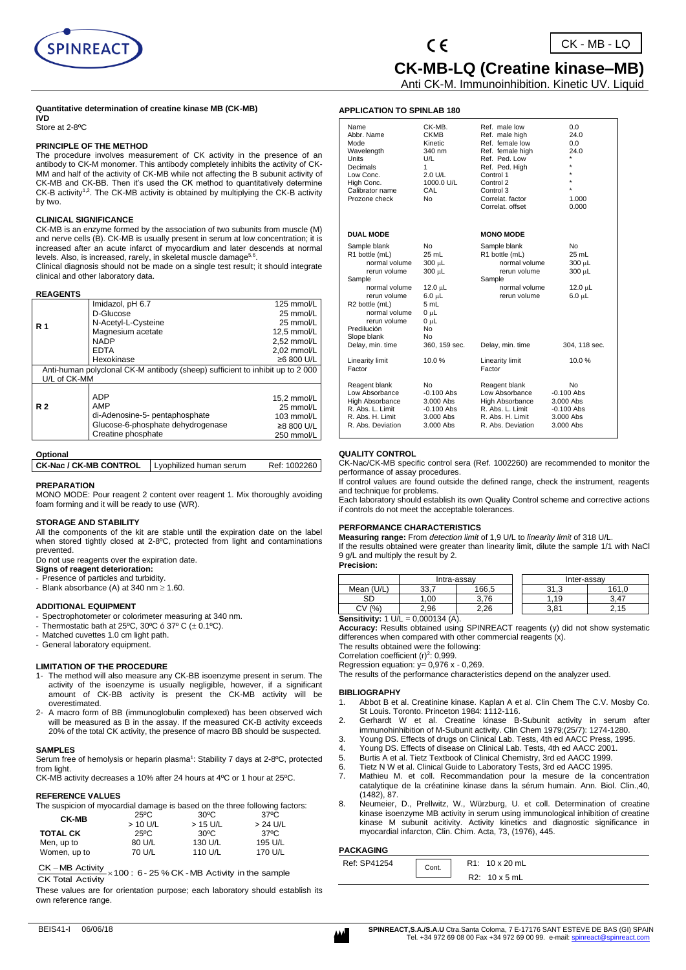

 $\epsilon$ 

 **CK-MB-LQ (Creatine kinase–MB)**

Anti CK-M. Immunoinhibition. Kinetic UV. Liquid

#### **Quantitative determination of creatine kinase MB (CK-MB) IVD**

Store at 2-8ºC

#### **PRINCIPLE OF THE METHOD**

The procedure involves measurement of CK activity in the presence of an antibody to CK-M monomer. This antibody completely inhibits the activity of CK-MM and half of the activity of CK-MB while not affecting the B subunit activity of CK-MB and CK-BB. Then it's used the CK method to quantitatively determine CK-B activity<sup>1,2</sup>. The CK-MB activity is obtained by multiplying the CK-B activity by two.

## **CLINICAL SIGNIFICANCE**

CK-MB is an enzyme formed by the association of two subunits from muscle (M) and nerve cells (B). CK-MB is usually present in serum at low concentration; it is increased after an acute infarct of myocardium and later descends at normal levels. Also, is increased, rarely, in skeletal muscle damage<sup>5,6</sup>.

Clinical diagnosis should not be made on a single test result; it should integrate clinical and other laboratory data.

#### **REAGENTS**

| .                                                                             |                                   |               |  |  |  |
|-------------------------------------------------------------------------------|-----------------------------------|---------------|--|--|--|
|                                                                               | Imidazol, pH 6.7                  | 125 mmol/L    |  |  |  |
|                                                                               | D-Glucose                         | 25 mmol/L     |  |  |  |
| <b>R</b> 1                                                                    | N-Acetyl-L-Cysteine               | 25 mmol/L     |  |  |  |
|                                                                               | Magnesium acetate                 | $12.5$ mmol/L |  |  |  |
|                                                                               | <b>NADP</b>                       | 2,52 mmol/L   |  |  |  |
|                                                                               | <b>EDTA</b>                       | 2.02 mmol/L   |  |  |  |
|                                                                               | Hexokinase                        | ≥6 800 U/L    |  |  |  |
| Anti-human polyclonal CK-M antibody (sheep) sufficient to inhibit up to 2 000 |                                   |               |  |  |  |
| U/L of CK-MM                                                                  |                                   |               |  |  |  |
|                                                                               |                                   |               |  |  |  |
|                                                                               | <b>ADP</b>                        | 15,2 mmol/L   |  |  |  |
| <b>R2</b>                                                                     | AMP                               | 25 mmol/L     |  |  |  |
|                                                                               | di-Adenosine-5- pentaphosphate    | 103 mmol/L    |  |  |  |
|                                                                               | Glucose-6-phosphate dehydrogenase | ≥8 800 U/L    |  |  |  |
|                                                                               | Creatine phosphate                | 250 mmol/L    |  |  |  |
|                                                                               |                                   |               |  |  |  |

#### **Optional**

| <b>CK-Nac / CK-MB CONTROL</b>   Lyophilized human serum | Ref: 1002260 |
|---------------------------------------------------------|--------------|
|                                                         |              |

## **PREPARATION**

MONO MODE: Pour reagent 2 content over reagent 1. Mix thoroughly avoiding foam forming and it will be ready to use (WR).

#### **STORAGE AND STABILITY**

All the components of the kit are stable until the expiration date on the label when stored tightly closed at 2-8ºC, protected from light and contaminations prevented.

Do not use reagents over the expiration date.

#### **Signs of reagent deterioration:**  - Presence of particles and turbidity.

- Blank absorbance (A) at 340 nm  $\geq 1.60$ .

#### **ADDITIONAL EQUIPMENT**

- Spectrophotometer or colorimeter measuring at 340 nm.
- Thermostatic bath at 25°C, 30°C ó 37° C  $(\pm 0.1$ °C).
- Matched cuvettes 1.0 cm light path.
- General laboratory equipment.

#### **LIMITATION OF THE PROCEDURE**

- 1- The method will also measure any CK-BB isoenzyme present in serum. The activity of the isoenzyme is usually negligible, however, if a significant amount of CK-BB activity is present the CK-MB activity will be overestimated.
- 2- A macro form of BB (immunoglobulin complexed) has been observed wich will be measured as B in the assay. If the measured CK-B activity exceeds 20% of the total CK activity, the presence of macro BB should be suspected.

#### **SAMPLES**

Serum free of hemolysis or heparin plasma<sup>1</sup>: Stability 7 days at 2-8°C, protected from light.

CK-MB activity decreases a 10% after 24 hours at 4ºC or 1 hour at 25ºC.

#### **REFERENCE VALUES**

| The suspicion of myocardial damage is based on the three following factors: |                |                |                |
|-----------------------------------------------------------------------------|----------------|----------------|----------------|
| <b>CK-MB</b>                                                                | $25^{\circ}$ C | $30^{\circ}$ C | $37^{\circ}$ C |
|                                                                             | $>10$ U/L      | $>15$ U/L      | $> 24$ U/L     |
| <b>TOTAL CK</b>                                                             | $25^{\circ}$ C | $30^{\circ}$ C | 37°C           |
| Men, up to                                                                  | 80 U/L         | 130 U/L        | 195 U/L        |
| Women, up to                                                                | 70 U/L         | 110 U/L        | 170 U/L        |

 $CK - MB$  Activity  $\times 100$ : 6 - 25 % CK -MB Activity in the sample  $CK$  Total Activity

These values are for orientation purpose; each laboratory should establish its own reference range.

| <b>APPLICATION TO SPINLAB 180</b> |  |  |  |
|-----------------------------------|--|--|--|
|-----------------------------------|--|--|--|

| Name              | CK-MB.        | Ref. male low     | 0.0           |
|-------------------|---------------|-------------------|---------------|
| Abbr. Name        | <b>CKMB</b>   | Ref. male high    | 24.0          |
| Mode              | Kinetic       | Ref. female low   | 0.0           |
| Wavelength        | 340 nm        | Ref. female high  | 24.0          |
| Units             | U/L           | Ref. Ped. Low     | ÷             |
| Decimals          | 1             | Ref. Ped. High    | ÷             |
| Low Conc.         | 2.0 U/L       | Control 1         | $\star$       |
| High Conc.        | 1000.0 U/L    | Control 2         | $\star$       |
|                   |               |                   | $\star$       |
| Calibrator name   | CAL           | Control 3         |               |
| Prozone check     | No            | Correlat. factor  | 1.000         |
|                   |               | Correlat. offset  | 0.000         |
|                   |               |                   |               |
| <b>DUAL MODE</b>  |               | <b>MONO MODE</b>  |               |
| Sample blank      | <b>No</b>     | Sample blank      | No            |
|                   | 25 mL         |                   | 25 mL         |
| R1 bottle (mL)    |               | R1 bottle (mL)    |               |
| normal volume     | $300 \mu L$   | normal volume     | $300 \mu L$   |
| rerun volume      | $300 \mu L$   | rerun volume      | $300 \mu L$   |
| Sample            |               | Sample            |               |
| normal volume     | $12.0 \mu L$  | normal volume     | 12.0 $\mu$ L  |
| rerun volume      | $6.0 \mu L$   | rerun volume      | $6.0 \mu L$   |
| R2 bottle (mL)    | 5 mL          |                   |               |
| normal volume     | $0 \mu L$     |                   |               |
| rerun volume      | $0 \mu L$     |                   |               |
| Predilución       | No            |                   |               |
|                   |               |                   |               |
| Slope blank       | No            |                   |               |
| Delay, min. time  | 360, 159 sec. | Delay, min. time  | 304, 118 sec. |
| Linearity limit   | 10.0%         | Linearity limit   | 10.0%         |
| Factor            |               | Factor            |               |
| Reagent blank     | No            | Reagent blank     | <b>No</b>     |
| Low Absorbance    | $-0.100$ Abs  | Low Absorbance    | $-0.100$ Abs  |
| High Absorbance   | 3.000 Abs     | High Absorbance   | 3.000 Abs     |
| R. Abs. L. Limit  | $-0.100$ Abs  | R. Abs. L. Limit  | $-0.100$ Abs  |
| R. Abs. H. Limit  | 3.000 Abs     | R. Abs. H. Limit  | 3.000 Abs     |
| R. Abs. Deviation | 3.000 Abs     | R. Abs. Deviation | 3.000 Abs     |
|                   |               |                   |               |

#### **QUALITY CONTROL**

CK-Nac/CK-MB specific control sera (Ref. 1002260) are recommended to monitor the performance of assay procedures.

If control values are found outside the defined range, check the instrument, reagents and technique for problems.

Each laboratory should establish its own Quality Control scheme and corrective actions if controls do not meet the acceptable tolerances.

#### **PERFORMANCE CHARACTERISTICS**

**Measuring range:** From *detection limit* of 1,9 U/L to *linearity limit* of 318 U/L.

If the results obtained were greater than linearity limit, dilute the sample 1/1 with NaCl 9 g/L and multiply the result by 2.

**Precision:**

|            | Intra-assay |       | Inter-assay  |           |
|------------|-------------|-------|--------------|-----------|
| Mean (U/L) | າາ<br>ັບບ   | 166.5 | つイ<br>ن. ا ب | 161.0     |
| SD         | .00         | 76    | .19          | 3 47<br>ັ |
| (% )<br>C٧ | 2,96        | 2.26  | 3,81         | 2.15      |

**Sensitivity:** 1 U/L = 0.000134 (A).

**Accuracy:** Results obtained using SPINREACT reagents (y) did not show systematic differences when compared with other commercial reagents (x).

The results obtained were the following:

Correlation coefficient  $(r)^2$ : 0,999. Regression equation:  $y = 0.976 x - 0.269$ .

The results of the performance characteristics depend on the analyzer used.

#### **BIBLIOGRAPHY**

- 1. Abbot B et al. Creatinine kinase. Kaplan A et al. Clin Chem The C.V. Mosby Co. St Louis. Toronto. Princeton 1984: 1112-116.
- 2. Gerhardt W et al. Creatine kinase B-Subunit activity in serum after
- immunohinhibition of M-Subunit activity. Clin Chem 1979;(25/7): 1274-1280. 3. Young DS. Effects of drugs on Clinical Lab. Tests, 4th ed AACC Press, 1995.
- 4. Young DS. Effects of disease on Clinical Lab. Tests, 4th ed AACC 2001.
- 5. Burtis A et al. Tietz Textbook of Clinical Chemistry, 3rd ed AACC 1999.
- 6. Tietz N W et al. Clinical Guide to Laboratory Tests, 3rd ed AACC 1995.
- Mathieu M. et coll. Recommandation pour la mesure de la concentration catalytique de la créatinine kinase dans la sérum humain. Ann. Biol. Clin.,40, (1482), 87.
- 8. Neumeier, D., Prellwitz, W., Würzburg, U. et coll. Determination of creatine kinase isoenzyme MB activity in serum using immunological inhibition of creatine kinase M subunit acitivity. Activity kinetics and diagnostic significance in myocardial infarcton, Clin. Chim. Acta, 73, (1976), 445.

# **PACKAGING**

| .            |       |                         |
|--------------|-------|-------------------------|
| Ref: SP41254 | Cont. | R1: 10 x 20 mL          |
|              |       | $10 \times 5$ mL<br>R2: |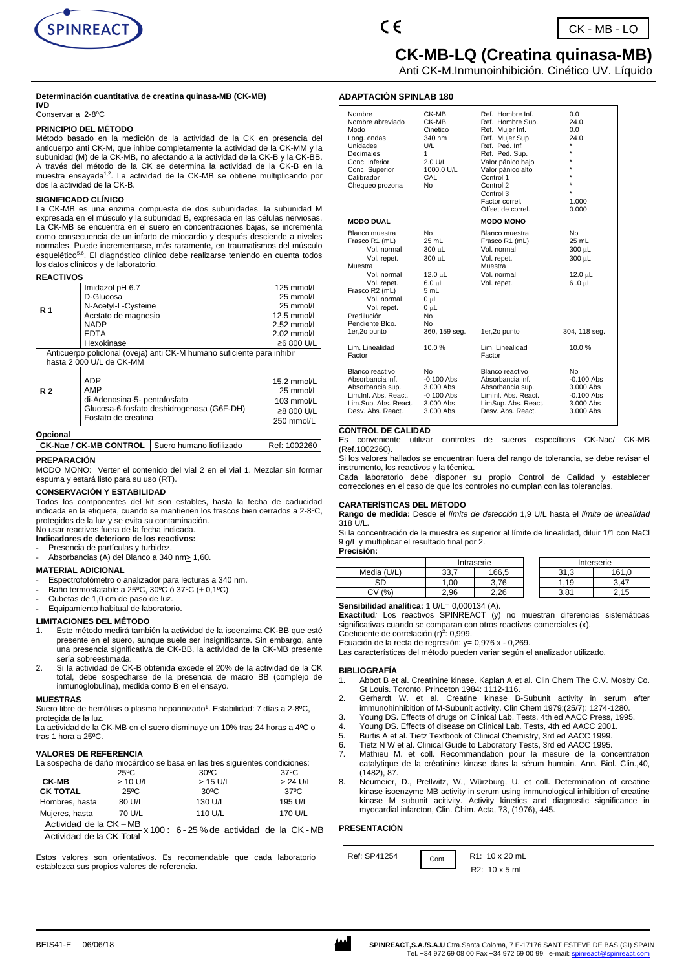



**ADAPTACIÓN SPINLAB 180**

# **CK-MB-LQ (Creatina quinasa-MB)**

Anti CK-M.Inmunoinhibición. Cinético UV. Líquido

#### **Determinación cuantitativa de creatina quinasa-MB (CK-MB) IVD**

#### Conservar a 2-8ºC

#### **PRINCIPIO DEL MÉTODO**

Método basado en la medición de la actividad de la CK en presencia del anticuerpo anti CK-M, que inhibe completamente la actividad de la CK-MM y la subunidad (M) de la CK-MB, no afectando a la actividad de la CK-B y la CK-BB. A través del método de la CK se determina la actividad de la CK-B en la<br>muestra ensayada<sup>1,2</sup>. La actividad de la CK-MB se obtiene multiplicando por dos la actividad de la CK-B.

#### **SIGNIFICADO CLÍNICO**

La CK-MB es una enzima compuesta de dos subunidades, la subunidad M expresada en el músculo y la subunidad B, expresada en las células nerviosas. La CK-MB se encuentra en el suero en concentraciones bajas, se incrementa como consecuencia de un infarto de miocardio y después desciende a niveles normales. Puede incrementarse, más raramente, en traumatismos del músculo esquelético<sup>5,6</sup>. El diagnóstico clínico debe realizarse teniendo en cuenta todos los datos clínicos y de laboratorio.

#### **REACTIVOS**

| Imidazol pH 6.7                                                                                                       | 125 mmol/L                                                           |  |  |  |
|-----------------------------------------------------------------------------------------------------------------------|----------------------------------------------------------------------|--|--|--|
| D-Glucosa                                                                                                             | 25 mmol/L                                                            |  |  |  |
| N-Acetyl-L-Cysteine                                                                                                   | 25 mmol/L                                                            |  |  |  |
| Acetato de magnesio                                                                                                   | $12.5$ mmol/L                                                        |  |  |  |
| <b>NADP</b>                                                                                                           | $2.52$ mmol/L                                                        |  |  |  |
| <b>EDTA</b>                                                                                                           | $2.02$ mmol/L                                                        |  |  |  |
| Hexokinase                                                                                                            | ≥6 800 U/L                                                           |  |  |  |
| Anticuerpo policlonal (oveja) anti CK-M humano suficiente para inhibir                                                |                                                                      |  |  |  |
| hasta 2 000 U/L de CK-MM                                                                                              |                                                                      |  |  |  |
| <b>ADP</b><br>AMP<br>di-Adenosina-5- pentafosfato<br>Glucosa-6-fosfato deshidrogenasa (G6F-DH)<br>Fosfato de creatina | $15.2$ mmol/L<br>25 mmol/L<br>103 mmol/L<br>≥8 800 U/L<br>250 mmol/L |  |  |  |
|                                                                                                                       |                                                                      |  |  |  |

## **Opcional**

**CK-Nac / CK-MB CONTROL** Suero humano liofilizado Ref: 1002260

### **PREPARACIÓN**

MODO MONO: Verter el contenido del vial 2 en el vial 1. Mezclar sin formar espuma y estará listo para su uso (RT).

#### **CONSERVACIÓN Y ESTABILIDAD**

Todos los componentes del kit son estables, hasta la fecha de caducidad indicada en la etiqueta, cuando se mantienen los frascos bien cerrados a 2-8ºC, protegidos de la luz y se evita su contaminación. No usar reactivos fuera de la fecha indicada.

# **Indicadores de deterioro de los reactivos:**

- Presencia de partículas y turbidez
- Absorbancias (A) del Blanco a 340 nm> 1,60.

#### **MATERIAL ADICIONAL**

- Espectrofotómetro o analizador para lecturas a 340 nm.
- Baño termostatable a 25°C, 30°C ó 37°C  $(+ 0.1$ °C)
- Cubetas de 1.0 cm de paso de luz.
- Equipamiento habitual de laboratorio.

#### **LIMITACIONES DEL MÉTODO**

- 1. Este método medirá también la actividad de la isoenzima CK-BB que esté presente en el suero, aunque suele ser insignificante. Sin embargo, ante una presencia significativa de CK-BB, la actividad de la CK-MB presente sería sobreestimada.
- 2. Si la actividad de CK-B obtenida excede el 20% de la actividad de la CK total, debe sospecharse de la presencia de macro BB (complejo de inmunoglobulina), medida como B en el ensayo.

### **MUESTRAS**

Suero libre de hemólisis o plasma heparinizado<sup>1</sup>. Estabilidad: 7 días a 2-8°C, protegida de la luz.

La actividad de la CK-MB en el suero disminuye un 10% tras 24 horas a 4ºC o tras 1 hora a 25ºC.

## **VALORES DE REFERENCIA**

La sospecha de daño miocárdico se basa en las tres siguientes condiciones:

| $> 24$ U/L |
|------------|
|            |
| 37°C       |
| 195 U/L    |
| 170 U/L    |
|            |

x 100 : 6 - 25 % de actividad de la CK -MB Actividad de la CK Total Actividad de la CK −MB

Estos valores son orientativos. Es recomendable que cada laboratorio establezca sus propios valores de referencia.

| CK-MB<br>CK-MB<br>Cinético<br>340 nm<br>U/L<br>1<br>$2.0 \text{ U/L}$<br>1000.0 U/L<br>CAL<br>No                                          | Ref. Hombre Inf.<br>Ref. Hombre Sup.<br>Ref. Muier Inf.<br>Ref. Mujer Sup.<br>Ref. Ped. Inf.<br>Ref. Ped. Sup.<br>Valor pánico bajo<br>Valor pánico alto<br>Control 1<br>Control 2<br>Control 3<br>Factor correl.<br>Offset de correl. | 0.0<br>24.0<br>0.0<br>24.0<br>÷<br>1.000<br>0.000                              |
|-------------------------------------------------------------------------------------------------------------------------------------------|----------------------------------------------------------------------------------------------------------------------------------------------------------------------------------------------------------------------------------------|--------------------------------------------------------------------------------|
|                                                                                                                                           | <b>MODO MONO</b>                                                                                                                                                                                                                       |                                                                                |
| No.<br>25 mL<br>300 µL<br>300 µL<br>12.0 µL<br>$6.0 \text{ }\mu\text{L}$<br>5 mL<br>$0 \mu L$<br>$0 \mu L$<br>No.<br>No.<br>360, 159 seq. | Blanco muestra<br>Frasco R1 (mL)<br>Vol. normal<br>Vol. repet.<br>Muestra<br>Vol. normal<br>Vol. repet.<br>1er,2o punto                                                                                                                | No.<br>25 mL<br>300 µL<br>300 µL<br>12.0 µL<br>1u 0. 6<br>304, 118 seg.        |
| 10.0%                                                                                                                                     | Lim. Linealidad<br>Factor                                                                                                                                                                                                              | 10.0%                                                                          |
| No.<br>$-0.100$ Abs<br>$3.000$ Abs<br>$-0.100$ Abs<br>$3.000$ Abs<br>$3.000$ Abs                                                          | Blanco reactivo<br>Absorbancia inf.<br>Absorbancia sup.<br>Liminf. Abs. React.<br>LimSup, Abs. React.<br>Desy, Abs. React.                                                                                                             | No.<br>$-0.100$ Abs<br>3.000 Abs<br>$-0.100$ Abs<br>$3.000$ Abs<br>$3.000$ Abs |
|                                                                                                                                           |                                                                                                                                                                                                                                        |                                                                                |

#### **CONTROL DE CALIDAD**

Es conveniente utilizar controles de sueros específicos CK-Nac/ CK-MB (Ref.1002260).

Si los valores hallados se encuentran fuera del rango de tolerancia, se debe revisar el instrumento, los reactivos y la técnica.

Cada laboratorio debe disponer su propio Control de Calidad y establecer correcciones en el caso de que los controles no cumplan con las tolerancias.

## **CARATERÍSTICAS DEL MÉTODO**

**Rango de medida:** Desde el *límite de detección* 1,9 U/L hasta el *límite de linealidad* 318 U/L.

Si la concentración de la muestra es superior al límite de linealidad, diluir 1/1 con NaCl 9 g/L y multiplicar el resultado final por 2.

**Precisión:**

|             | Intraserie |       |  |                               | Interserie              |
|-------------|------------|-------|--|-------------------------------|-------------------------|
| Media (U/L) | 33.        | 166.5 |  | 21<br>$\sqrt{2}$<br>ں.<br>ັບເ | 161.0                   |
| SD          | .00        | 3.76  |  | .19                           | 3.47                    |
| (%<br>СV    | 2.96       | 2.26  |  | 3.81                          | .15<br>ົ<br><u>. . </u> |

Sensibilidad analítica: 1 U/L= 0,000134 (A).

**Exactitud***:* Los reactivos SPINREACT (y) no muestran diferencias sistemáticas significativas cuando se comparan con otros reactivos comerciales (x).

Coeficiente de correlación (r)<sup>2</sup>: 0,999.

Ecuación de la recta de regresión: y= 0,976 x - 0,269. Las características del método pueden variar según el analizador utilizado.

#### **BIBLIOGRAFÍA**

- 1. Abbot B et al. Creatinine kinase. Kaplan A et al. Clin Chem The C.V. Mosby Co. St Louis. Toronto. Princeton 1984: 1112-116.
- 2. Gerhardt W. et al. Creatine kinase B-Subunit activity in serum after immunohinhibition of M-Subunit activity. Clin Chem 1979;(25/7): 1274-1280.
- 3. Young DS. Effects of drugs on Clinical Lab. Tests, 4th ed AACC Press, 1995.
- 4. Young DS. Effects of disease on Clinical Lab. Tests, 4th ed AACC 2001.<br>5. Burtis A et al. Tietz Textbook of Clinical Chemistry, 3rd ed AACC 1999.
- 5. Burtis A et al. Tietz Textbook of Clinical Chemistry, 3rd ed AACC 1999.
- 6. Tietz N W et al. Clinical Guide to Laboratory Tests, 3rd ed AACC 1995.
- 7. Mathieu M. et coll. Recommandation pour la mesure de la concentration catalytique de la créatinine kinase dans la sérum humain. Ann. Biol. Clin.,40, (1482), 87.
- 8. Neumeier, D., Prellwitz, W., Würzburg, U. et coll. Determination of creatine kinase isoenzyme MB activity in serum using immunological inhibition of creatine kinase M subunit acitivity. Activity kinetics and diagnostic significance in myocardial infarcton, Clin. Chim. Acta, 73, (1976), 445.

## **PRESENTACIÓN**

| Ref: SP41254 | Cont. | R1: 10 x 20 mL |
|--------------|-------|----------------|
|              |       | R2: 10 x 5 mL  |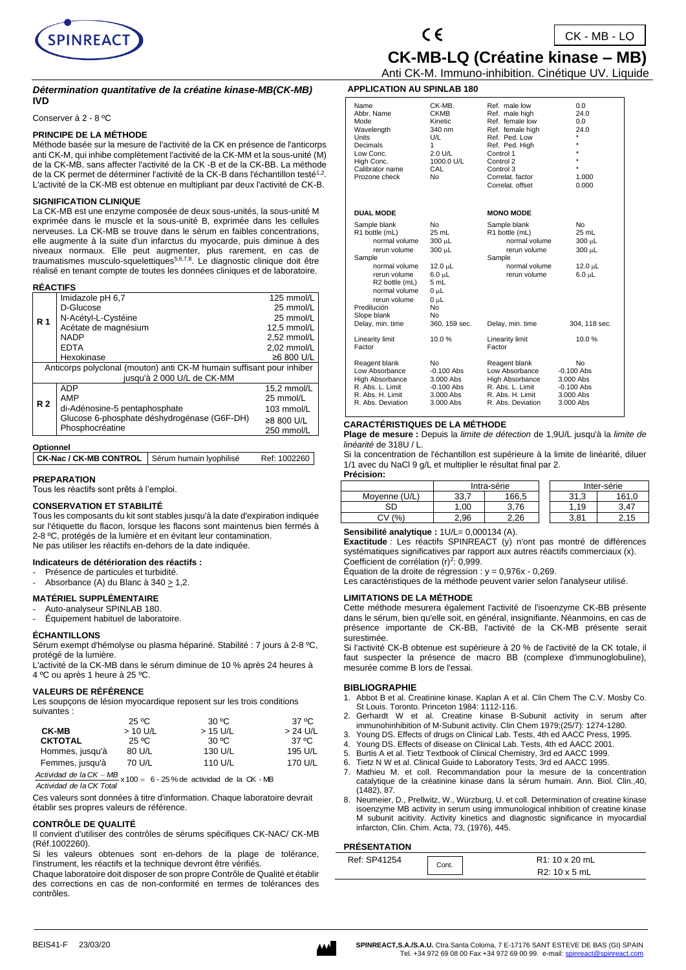



 $CK - MB - LO$ 

 **CK-MB-LQ (Créatine kinase – MB)** Anti CK-M. Immuno-inhibition. Cinétique UV. Liquide

**APPLICATION AU SPINLAB 180**

#### *Détermination quantitative de la créatine kinase-MB(CK-MB)*  **IVD**

Conserver à 2 - 8 ºC

### **PRINCIPE DE LA MÉTHODE**

Méthode basée sur la mesure de l'activité de la CK en présence de l'anticorps anti CK-M, qui inhibe complètement l'activité de la CK-MM et la sous-unité (M) de la CK-MB, sans affecter l'activité de la CK -B et de la CK-BB. La méthode de la CK permet de déterminer l'activité de la CK-B dans l'échantillon testé<sup>1,2</sup>. L'activité de la CK-MB est obtenue en multipliant par deux l'activité de CK-B.

#### **SIGNIFICATION CLINIQUE**

La CK-MB est une enzyme composée de deux sous-unités, la sous-unité M exprimée dans le muscle et la sous-unité B, exprimée dans les cellules nerveuses. La CK-MB se trouve dans le sérum en faibles concentrations, elle augmente à la suite d'un infarctus du myocarde, puis diminue à des niveaux normaux. Elle peut augmenter, plus rarement, en cas de traumatismes musculo-squelettiques<sup>5,6,7,8</sup>. Le diagnostic clinique doit être réalisé en tenant compte de toutes les données cliniques et de laboratoire.

| <b>REACTIFS</b> |                                                                       |                 |  |  |  |
|-----------------|-----------------------------------------------------------------------|-----------------|--|--|--|
|                 | Imidazole pH 6,7                                                      | 125 mmol/L      |  |  |  |
|                 | D-Glucose                                                             | 25 mmol/L       |  |  |  |
| <b>R</b> 1      | N-Acétyl-L-Cystéine                                                   | 25 mmol/L       |  |  |  |
|                 | Acétate de magnésium                                                  | 12.5 mmol/L     |  |  |  |
|                 | <b>NADP</b>                                                           | 2,52 mmol/L     |  |  |  |
|                 | <b>EDTA</b>                                                           | 2,02 mmol/L     |  |  |  |
|                 | Hexokinase                                                            | ≥6 800 U/L      |  |  |  |
|                 | Anticorps polyclonal (mouton) anti CK-M humain suffisant pour inhiber |                 |  |  |  |
|                 | jusqu'à 2 000 U/L de CK-MM                                            |                 |  |  |  |
|                 | <b>ADP</b>                                                            | 15,2 mmol/L     |  |  |  |
| <b>R2</b>       | AMP                                                                   | 25 mmol/L       |  |  |  |
|                 | di-Adénosine-5 pentaphosphate                                         | $103$ mmol/L    |  |  |  |
|                 | Glucose 6-phosphate déshydrogénase (G6F-DH)                           | $\geq$ 8800 U/L |  |  |  |
|                 | Phosphocréatine                                                       | 250 mmol/L      |  |  |  |
|                 |                                                                       |                 |  |  |  |

| Optionnel                                        |  |              |  |
|--------------------------------------------------|--|--------------|--|
| CK-Nac / CK-MB CONTROL   Sérum humain lyophilisé |  | Ref: 1002260 |  |

## **PREPARATION**

**RÉACTIFS** 

Tous les réactifs sont prêts à l'emploi.

#### **CONSERVATION ET STABILITÉ**

Tous les composants du kit sont stables jusqu'à la date d'expiration indiquée sur l'étiquette du flacon, lorsque les flacons sont maintenus bien fermés à 2-8 ºC, protégés de la lumière et en évitant leur contamination. Ne pas utiliser les réactifs en-dehors de la date indiquée.

## **Indicateurs de détérioration des réactifs :**

- Présence de particules et turbidité.
- Absorbance (A) du Blanc à 340  $\geq$  1,2.

# **MATÉRIEL SUPPLÉMENTAIRE**

Auto-analyseur SPINLAB 180.

Équipement habituel de laboratoire.

### **ÉCHANTILLONS**

Sérum exempt d'hémolyse ou plasma hépariné. Stabilité : 7 jours à 2-8 ºC, protégé de la lumière.

L'activité de la CK-MB dans le sérum diminue de 10 % après 24 heures à 4 ºC ou après 1 heure à 25 ºC.

#### **VALEURS DE RÉFÉRENCE**

Les soupçons de lésion myocardique reposent sur les trois conditions suivantes :

|                 | 25 °C     | 30 °C      | 37 °C      |
|-----------------|-----------|------------|------------|
| <b>CK-MB</b>    | $>10$ U/L | $>$ 15 U/L | $> 24$ U/L |
| <b>CKTOTAL</b>  | 25 °C     | 30 °C      | 37 °C      |
| Hommes, jusqu'à | 80 U/L    | 130 U/L    | 195 U/L    |
| Femmes, jusqu'à | 70 U/L    | 110 U/L    | 170 U/L    |

 $x 100 = 6 - 25$  % de actividad de la CK - MB *Actividad de la CK Total Actividad de la CK MB*

Ces valeurs sont données à titre d'information. Chaque laboratoire devrait établir ses propres valeurs de référence.

#### **CONTRÔLE DE QUALITÉ**

Il convient d'utiliser des contrôles de sérums spécifiques CK-NAC/ CK-MB (Réf.1002260).

Si les valeurs obtenues sont en-dehors de la plage de tolérance, l'instrument, les réactifs et la technique devront être vérifiés.

Chaque laboratoire doit disposer de son propre Contrôle de Qualité et établir des corrections en cas de non-conformité en termes de tolérances des contrôles.

| APPLICATION AU SPINLAB 180                                                                                                                                                                  |                                                                                                              |                                                                                                                                                                                          |                                                                                          |
|---------------------------------------------------------------------------------------------------------------------------------------------------------------------------------------------|--------------------------------------------------------------------------------------------------------------|------------------------------------------------------------------------------------------------------------------------------------------------------------------------------------------|------------------------------------------------------------------------------------------|
| Name<br>Abbr. Name<br>Mode<br>Wavelength<br>Units<br>Decimals<br>Low Conc.<br>High Conc.<br>Calibrator name<br>Prozone check                                                                | CK-MB.<br>CKMB<br>Kinetic<br>340 nm<br>U/L<br>1<br>2.0 U/L<br>1000.0 U/L<br>CAL<br>No                        | Ref. male low<br>Ref. male high<br>Ref. female low<br>Ref. female high<br>Ref. Ped. Low<br>Ref. Ped. High<br>Control 1<br>Control 2<br>Control 3<br>Correlat, factor<br>Correlat, offset | 0.0<br>24.0<br>0.0<br>24.0<br>$\star$<br>$\star$<br>$\star$<br>$\star$<br>1.000<br>0.000 |
| <b>DUAL MODE</b>                                                                                                                                                                            |                                                                                                              | <b>MONO MODE</b>                                                                                                                                                                         |                                                                                          |
| Sample blank<br>R1 bottle (mL)<br>normal volume<br>rerun volume<br>Sample<br>normal volume<br>rerun volume<br>R2 bottle (mL)<br>normal volume<br>rerun volume<br>Predilución<br>Slope blank | No<br>25 mL<br>300 µL<br>300 µL<br>12.0 $\mu$ L<br>$6.0 \mu L$<br>5 mL<br>$0 \mu L$<br>$0 \mu L$<br>No<br>No | Sample blank<br>R1 bottle (mL)<br>normal volume<br>rerun volume<br>Sample<br>normal volume<br>rerun volume                                                                               | No<br>25 mL<br>300 µL<br>300 µL<br>12.0 µL<br>6.0 µL                                     |
| Delay, min. time                                                                                                                                                                            | 360, 159 sec.                                                                                                | Delay, min. time                                                                                                                                                                         | 304, 118 sec.                                                                            |
| Linearity limit<br>Factor                                                                                                                                                                   | 10.0%                                                                                                        | Linearity limit<br>Factor                                                                                                                                                                | 10.0%                                                                                    |
| Reagent blank<br>Low Absorbance<br><b>High Absorbance</b><br>R. Abs. L. Limit<br>R. Abs. H. Limit<br>R. Abs. Deviation                                                                      | No<br>$-0.100$ Abs<br>3.000 Abs<br>$-0.100$ Abs<br>3.000 Abs<br>3.000 Abs                                    | Reagent blank<br>Low Absorbance<br>High Absorbance<br>R. Abs. L. Limit<br>R. Abs. H. Limit<br>R. Abs. Deviation                                                                          | No<br>$-0.100$ Abs<br>3.000 Abs<br>$-0.100$ Abs<br>3.000 Abs<br>3.000 Abs                |

## **CARACTÉRISTIQUES DE LA MÉTHODE**

**Plage de mesure :** Depuis la *limite de détection* de 1,9U/L jusqu'à la *limite de linéarité* de 318U / L.

Si la concentration de l'échantillon est supérieure à la limite de linéarité, diluer 1/1 avec du NaCl 9 g/L et multiplier le résultat final par 2. **Précision:**

|               | Intra-série |       |      | Inter-série |
|---------------|-------------|-------|------|-------------|
| Moyenne (U/L) | 33.7        | 166,5 | 31.3 | 161.0       |
| SD            | .00         | 3.76  | .19  | 3.47        |
| (%`           | 2.96        | 2.26  | 3.81 |             |

Sensibilité analytique :  $1U/L= 0,000134$  (A).

**Exactitude** *:* Les réactifs SPINREACT (y) n'ont pas montré de différences systématiques significatives par rapport aux autres réactifs commerciaux (x). Coefficient de corrélation  $(r)^2$ : 0,999.

Équation de la droite de régression :  $y = 0.976x - 0.269$ .

Les caractéristiques de la méthode peuvent varier selon l'analyseur utilisé.

## **LIMITATIONS DE LA MÉTHODE**

Cette méthode mesurera également l'activité de l'isoenzyme CK-BB présente dans le sérum, bien qu'elle soit, en général, insignifiante. Néanmoins, en cas de présence importante de CK-BB, l'activité de la CK-MB présente serait surestimée.

Si l'activité CK-B obtenue est supérieure à 20 % de l'activité de la CK totale, il faut suspecter la présence de macro BB (complexe d'immunoglobuline), mesurée comme B lors de l'essai.

#### **BIBLIOGRAPHIE**

- Abbot B et al. Creatinine kinase. Kaplan A et al. Clin Chem The C.V. Mosby Co. St Louis. Toronto. Princeton 1984: 1112-116.
- 2. Gerhardt W et al. Creatine kinase B-Subunit activity in serum after immunohinhibition of M-Subunit activity. Clin Chem 1979;(25/7): 1274-1280.
- 3. Young DS. Effects of drugs on Clinical Lab. Tests, 4th ed AACC Press, 1995.
- 4. Young DS. Effects of disease on Clinical Lab. Tests, 4th ed AACC 2001.
- 5. Burtis A et al. Tietz Textbook of Clinical Chemistry, 3rd ed AACC 1999.<br>6. Tietz N W et al. Clinical Guide to Laboratory Tests, 3rd ed AACC 1995.
- Tietz N W et al. Clinical Guide to Laboratory Tests, 3rd ed AACC 1995.
- 7. Mathieu M. et coll. Recommandation pour la mesure de la concentration catalytique de la créatinine kinase dans la sérum humain. Ann. Biol. Clin.,40, (1482), 87.
- Neumeier, D., Prellwitz, W., Würzburg, U. et coll. Determination of creatine kinase isoenzyme MB activity in serum using immunological inhibition of creatine kinase M subunit acitivity. Activity kinetics and diagnostic significance in myocardial infarcton, Clin. Chim. Acta, 73, (1976), 445.

#### **PRÉSENTATION**

| ,,,,,,,,,,,,,,,, |       |                             |
|------------------|-------|-----------------------------|
| Ref: SP41254     | Cont. | R <sub>1</sub> : 10 x 20 mL |
|                  |       | R2: 10 x 5 mL               |